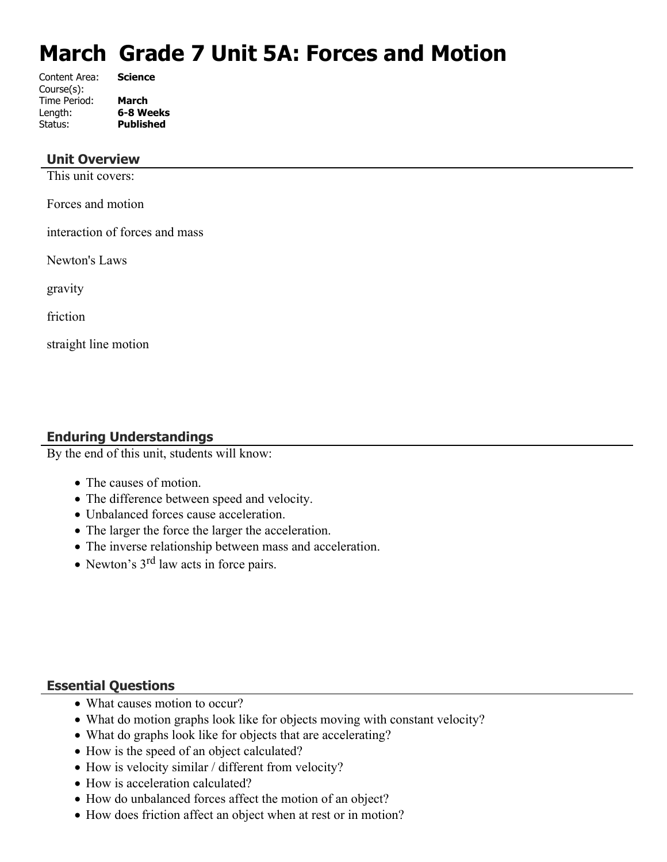# **March Grade 7 Unit 5A: Forces and Motion**

| Content Area: | <b>Science</b>   |
|---------------|------------------|
| Course(s):    |                  |
| Time Period:  | <b>March</b>     |
| Length:       | 6-8 Weeks        |
| Status:       | <b>Published</b> |
|               |                  |

## **Unit Overview**

This unit covers:

Forces and motion

interaction of forces and mass

Newton's Laws

gravity

friction

straight line motion

# **Enduring Understandings**

By the end of this unit, students will know:

- The causes of motion.
- The difference between speed and velocity.
- Unbalanced forces cause acceleration.
- The larger the force the larger the acceleration.
- The inverse relationship between mass and acceleration.
- Newton's 3<sup>rd</sup> law acts in force pairs.

# **Essential Questions**

- What causes motion to occur?
- What do motion graphs look like for objects moving with constant velocity?
- What do graphs look like for objects that are accelerating?
- How is the speed of an object calculated?
- How is velocity similar / different from velocity?
- How is acceleration calculated?
- How do unbalanced forces affect the motion of an object?
- How does friction affect an object when at rest or in motion?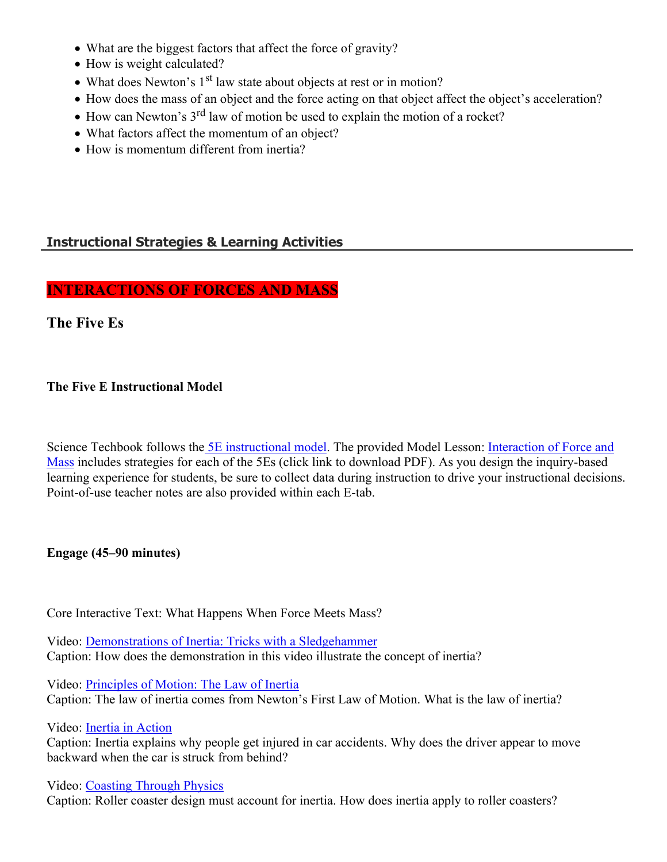- What are the biggest factors that affect the force of gravity?
- How is weight calculated?
- What does Newton's  $1<sup>st</sup>$  law state about objects at rest or in motion?
- How does the mass of an object and the force acting on that object affect the object's acceleration?
- $\bullet$  How can Newton's 3<sup>rd</sup> law of motion be used to explain the motion of a rocket?
- What factors affect the momentum of an object?
- How is momentum different from inertia?

# **Instructional Strategies & Learning Activities**

# **INTERACTIONS OF FORCES AND MASS**

# **The Five Es**

# **The Five E Instructional Model**

Science Techbook follows the [5E instructional model](https://app.discoveryeducation.com/player/view/assetGuid/d5b85b47-f169-4824-9b92-ac33f9e61c1e). The provided Model Lesson: Interaction of Force and [Mass](https://gtm-media-3.discoveryeducation.com/v3.4/DSC/data/MS_PS_InteractForceMass_NGSS_P3_ML_FINAL.pdf) includes strategies for each of the 5Es (click link to download PDF). As you design the inquiry-based learning experience for students, be sure to collect data during instruction to drive your instructional decisions. Point-of-use teacher notes are also provided within each E-tab.

## **Engage (45–90 minutes)**

Core Interactive Text: What Happens When Force Meets Mass?

Video: [Demonstrations of Inertia: Tricks with a Sledgehammer](https://app.discoveryeducation.com/player/view/assetGuid/4e02ca4f-e320-4e13-91ce-9c18be139437) Caption: How does the demonstration in this video illustrate the concept of inertia?

Video: [Principles of Motion: The Law of Inertia](https://app.discoveryeducation.com/player/view/assetGuid/05c918a6-959c-46e9-9461-0048de9857dd) Caption: The law of inertia comes from Newton's First Law of Motion. What is the law of inertia?

Video: [Inertia in Action](https://app.discoveryeducation.com/player/view/assetGuid/2b2b6639-d4ff-4a9f-b114-cca9e73ce015)

Caption: Inertia explains why people get injured in car accidents. Why does the driver appear to move backward when the car is struck from behind?

Video: [Coasting Through Physics](https://app.discoveryeducation.com/player/view/assetGuid/a36b84a7-1fd5-4f3b-be21-65c080337871) Caption: Roller coaster design must account for inertia. How does inertia apply to roller coasters?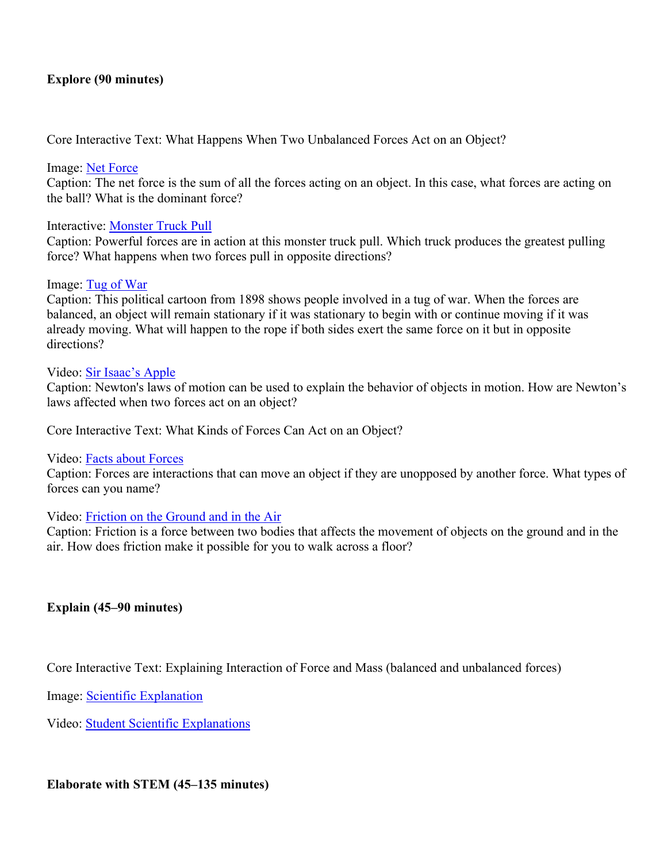### **Explore (90 minutes)**

Core Interactive Text: What Happens When Two Unbalanced Forces Act on an Object?

### Image: [Net Force](https://app.discoveryeducation.com/player/view/assetGuid/a3092ca0-828d-467f-91f9-fcca03506d0d)

Caption: The net force is the sum of all the forces acting on an object. In this case, what forces are acting on the ball? What is the dominant force?

#### Interactive: [Monster Truck Pull](https://app.discoveryeducation.com/player/view/assetGuid/394e92c1-f719-4162-b24b-ec123d15c0b5)

Caption: Powerful forces are in action at this monster truck pull. Which truck produces the greatest pulling force? What happens when two forces pull in opposite directions?

#### Image: [Tug of War](https://app.discoveryeducation.com/player/view/assetGuid/5d89c2d1-d1d4-4376-b41f-2289c9951876)

Caption: This political cartoon from 1898 shows people involved in a tug of war. When the forces are balanced, an object will remain stationary if it was stationary to begin with or continue moving if it was already moving. What will happen to the rope if both sides exert the same force on it but in opposite directions?

#### Video: [Sir Isaac's Apple](https://app.discoveryeducation.com/player/view/assetGuid/0e416053-bc3d-4dde-9829-19dda2af4b30)

Caption: Newton's laws of motion can be used to explain the behavior of objects in motion. How are Newton's laws affected when two forces act on an object?

Core Interactive Text: What Kinds of Forces Can Act on an Object?

#### Video: [Facts about Forces](https://app.discoveryeducation.com/player/view/assetGuid/9eda03c8-6c3d-4865-8c2c-e4702b3b1fd4)

Caption: Forces are interactions that can move an object if they are unopposed by another force. What types of forces can you name?

### Video: [Friction on the Ground and in the Air](https://app.discoveryeducation.com/player/view/assetGuid/b3a5e855-62e4-4a76-9440-144207d54211)

Caption: Friction is a force between two bodies that affects the movement of objects on the ground and in the air. How does friction make it possible for you to walk across a floor?

### **Explain (45–90 minutes)**

Core Interactive Text: Explaining Interaction of Force and Mass (balanced and unbalanced forces)

Image: [Scientific Explanation](https://app.discoveryeducation.com/player/view/assetGuid/c5918277-8749-4d7f-9e7b-cdd8f0db7c14)

Video: [Student Scientific Explanations](https://app.discoveryeducation.com/player/view/assetGuid/20455813-486f-49c8-b653-5c7c39304ed7)

### **Elaborate with STEM (45–135 minutes)**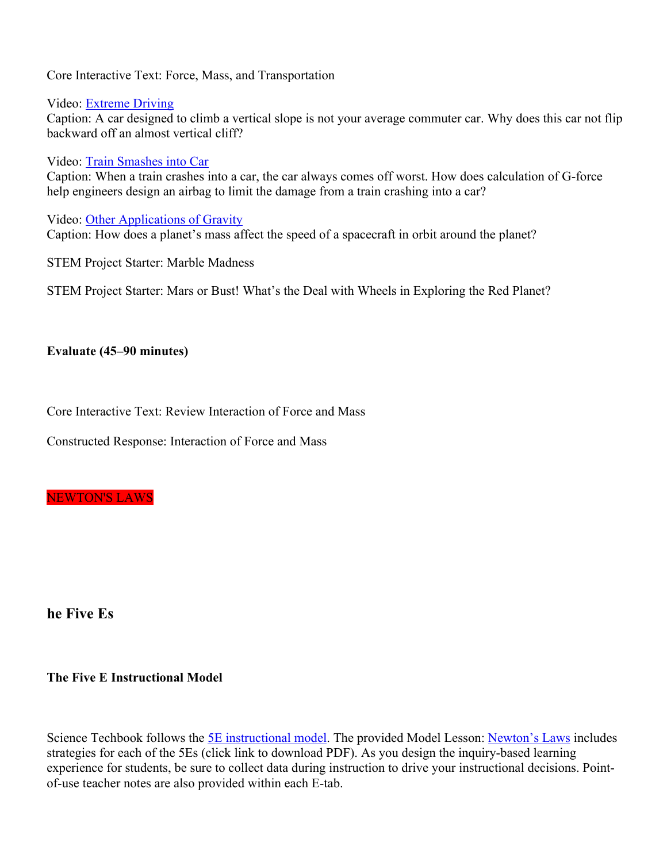Core Interactive Text: Force, Mass, and Transportation

Video: [Extreme Driving](https://app.discoveryeducation.com/player/view/assetGuid/a0578819-a616-4f12-a835-48386df4cd5f)

Caption: A car designed to climb a vertical slope is not your average commuter car. Why does this car not flip backward off an almost vertical cliff?

Video: [Train Smashes into Car](https://app.discoveryeducation.com/player/view/assetGuid/2b2b6639-d4ff-4a9f-b114-cca9e73ce015)

Caption: When a train crashes into a car, the car always comes off worst. How does calculation of G-force help engineers design an airbag to limit the damage from a train crashing into a car?

Video: [Other Applications of Gravity](https://app.discoveryeducation.com/player/view/assetGuid/57f59cac-6c0a-471e-820c-447453bd49de)

Caption: How does a planet's mass affect the speed of a spacecraft in orbit around the planet?

STEM Project Starter: Marble Madness

STEM Project Starter: Mars or Bust! What's the Deal with Wheels in Exploring the Red Planet?

## **Evaluate (45–90 minutes)**

Core Interactive Text: Review Interaction of Force and Mass

Constructed Response: Interaction of Force and Mass

NEWTON'S LAWS

**he Five Es**

## **The Five E Instructional Model**

Science Techbook follows the [5E instructional model](https://app.discoveryeducation.com/player/view/assetGuid/d5b85b47-f169-4824-9b92-ac33f9e61c1e). The provided Model Lesson: [Newton's Laws](https://gtm-media-3.discoveryeducation.com/v3.4/DSC/data/UE_PS_NewtonsLaws_NGSS_P3_ML_FINAL.pdf) includes strategies for each of the 5Es (click link to download PDF). As you design the inquiry-based learning experience for students, be sure to collect data during instruction to drive your instructional decisions. Pointof-use teacher notes are also provided within each E-tab.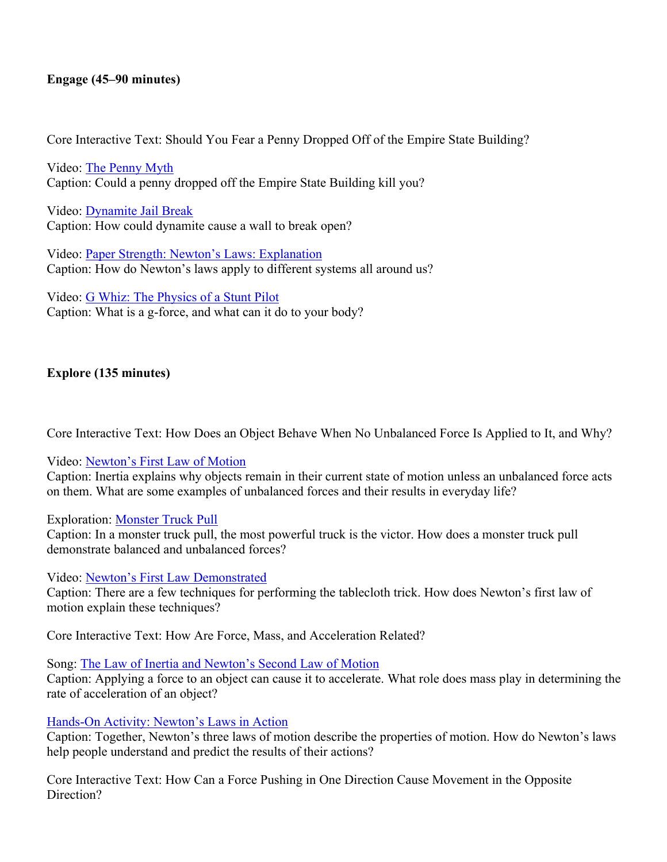## **Engage (45–90 minutes)**

Core Interactive Text: Should You Fear a Penny Dropped Off of the Empire State Building?

Video: [The Penny Myth](https://app.discoveryeducation.com/player/view/assetGuid/b4799144-487e-4dc6-ae25-f34004e59925) Caption: Could a penny dropped off the Empire State Building kill you?

Video: [Dynamite Jail Break](https://app.discoveryeducation.com/player/view/assetGuid/b703251f-b173-42ec-95a9-dfcf3e98fbbb) Caption: How could dynamite cause a wall to break open?

Video: [Paper Strength: Newton's Laws: Explanation](https://app.discoveryeducation.com/player/view/assetGuid/001dc90a-92f0-4316-b900-073c046cac8e) Caption: How do Newton's laws apply to different systems all around us?

Video: [G Whiz: The Physics of a Stunt Pilot](https://app.discoveryeducation.com/player/view/assetGuid/7cb70d6c-bd2b-46a2-8f10-9503ea546edd) Caption: What is a g-force, and what can it do to your body?

## **Explore (135 minutes)**

Core Interactive Text: How Does an Object Behave When No Unbalanced Force Is Applied to It, and Why?

Video: [Newton's First Law of Motion](https://app.discoveryeducation.com/player/view/assetGuid/5e7c0a7c-45ab-4cca-818e-cf24cfe00f2c)

Caption: Inertia explains why objects remain in their current state of motion unless an unbalanced force acts on them. What are some examples of unbalanced forces and their results in everyday life?

### Exploration: [Monster Truck Pull](https://app.discoveryeducation.com/player/view/assetGuid/394e92c1-f719-4162-b24b-ec123d15c0b5)

Caption: In a monster truck pull, the most powerful truck is the victor. How does a monster truck pull demonstrate balanced and unbalanced forces?

Video: [Newton's First Law Demonstrated](https://app.discoveryeducation.com/player/view/assetGuid/57e32dbc-1b14-4258-a865-2234af1203a3)

Caption: There are a few techniques for performing the tablecloth trick. How does Newton's first law of motion explain these techniques?

Core Interactive Text: How Are Force, Mass, and Acceleration Related?

### Song: [The Law of Inertia and Newton's Second Law of Motion](https://app.discoveryeducation.com/player/view/assetGuid/8b5bf98c-5152-4c39-8f7d-2c3dead4ae11)

Caption: Applying a force to an object can cause it to accelerate. What role does mass play in determining the rate of acceleration of an object?

### [Hands-On Activity: Newton's Laws in Action](https://app.discoveryeducation.com/player/view/assetGuid/5993fc56-52f3-4498-af89-de4f4777702f)

Caption: Together, Newton's three laws of motion describe the properties of motion. How do Newton's laws help people understand and predict the results of their actions?

Core Interactive Text: How Can a Force Pushing in One Direction Cause Movement in the Opposite Direction?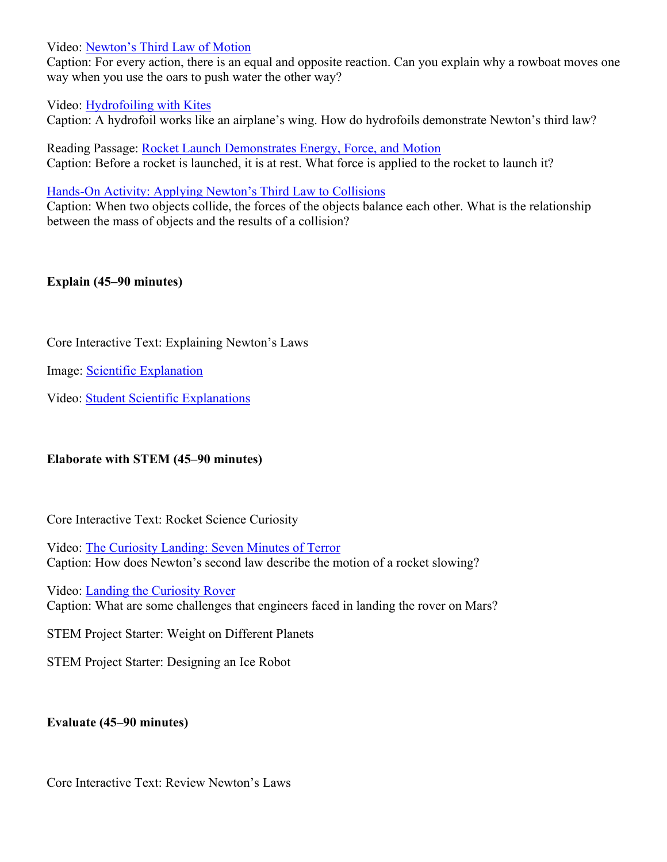Video: [Newton's Third Law of Motion](https://app.discoveryeducation.com/player/view/assetGuid/21a13a21-e21a-4ad6-92d2-0fb370dcab41)

Caption: For every action, there is an equal and opposite reaction. Can you explain why a rowboat moves one way when you use the oars to push water the other way?

## Video: [Hydrofoiling with Kites](https://app.discoveryeducation.com/player/view/assetGuid/c122b882-8e6c-4532-8f1a-05209080c00c)

Caption: A hydrofoil works like an airplane's wing. How do hydrofoils demonstrate Newton's third law?

Reading Passage: [Rocket Launch Demonstrates Energy, Force, and Motion](https://app.discoveryeducation.com/player/view/assetGuid/f692c6dd-bd87-47fc-baa4-1bf3f43bf1bb) Caption: Before a rocket is launched, it is at rest. What force is applied to the rocket to launch it?

[Hands-On Activity: Applying Newton's Third Law to Collisions](https://app.discoveryeducation.com/player/view/assetGuid/199be260-03a4-41ba-ae1c-4b15e5ab9fdc)

Caption: When two objects collide, the forces of the objects balance each other. What is the relationship between the mass of objects and the results of a collision?

## **Explain (45–90 minutes)**

Core Interactive Text: Explaining Newton's Laws

Image: [Scientific Explanation](https://app.discoveryeducation.com/player/view/assetGuid/c5918277-8749-4d7f-9e7b-cdd8f0db7c14)

Video: [Student Scientific Explanations](https://app.discoveryeducation.com/player/view/assetGuid/20455813-486f-49c8-b653-5c7c39304ed7)

## **Elaborate with STEM (45–90 minutes)**

Core Interactive Text: Rocket Science Curiosity

Video: [The Curiosity Landing: Seven Minutes of Terror](https://app.discoveryeducation.com/player/view/assetGuid/4314da5e-3095-4974-bc4e-4a58cdbb13a5) Caption: How does Newton's second law describe the motion of a rocket slowing?

Video: [Landing the Curiosity Rover](https://app.discoveryeducation.com/player/view/assetGuid/2e4b1308-2e2d-4320-a765-8b326f3afede) Caption: What are some challenges that engineers faced in landing the rover on Mars?

STEM Project Starter: Weight on Different Planets

STEM Project Starter: Designing an Ice Robot

## **Evaluate (45–90 minutes)**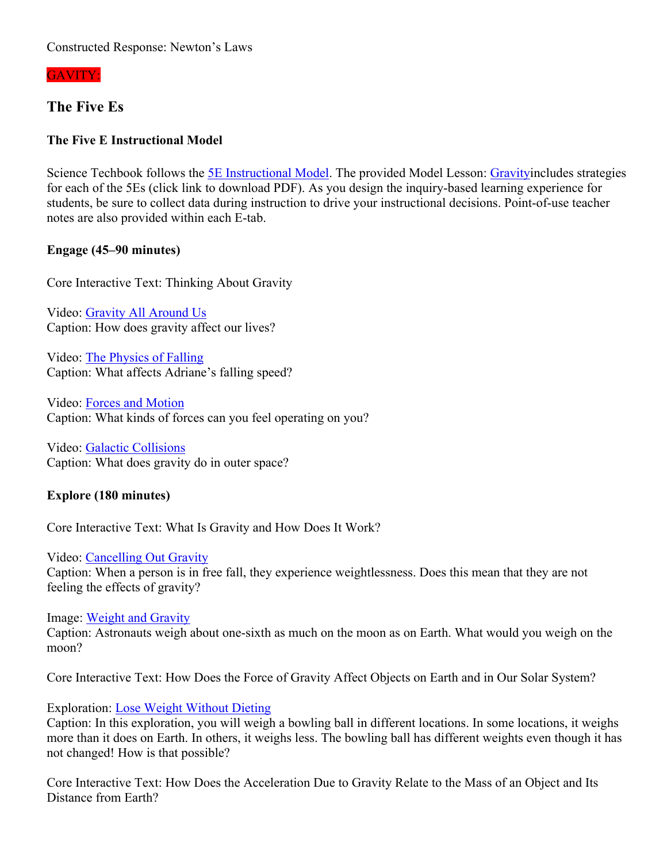Constructed Response: Newton's Laws

GAVITY:

# **The Five Es**

# **The Five E Instructional Model**

Science Techbook follows the **5E** Instructional Model. The provided Model Lesson: [Gravityi](https://gtm-media-3.discoveryeducation.com/v3.4/DSC/data/MS_PS_Gravity_NGSS_P3_ML_FINAL.pdf)ncludes strategies for each of the 5Es (click link to download PDF). As you design the inquiry-based learning experience for students, be sure to collect data during instruction to drive your instructional decisions. Point-of-use teacher notes are also provided within each E-tab.

# **Engage (45–90 minutes)**

Core Interactive Text: Thinking About Gravity

Video: [Gravity All Around Us](https://app.discoveryeducation.com/player/view/assetGuid/db6188ff-f64d-47f5-a986-6b23014e5768) Caption: How does gravity affect our lives?

Video: [The Physics of Falling](https://app.discoveryeducation.com/player/view/assetGuid/2429717a-7cb0-45c0-b50c-9edd17fdcd23) Caption: What affects Adriane's falling speed?

Video: [Forces and Motion](https://app.discoveryeducation.com/player/view/assetGuid/b194d8fd-c298-4bc4-ad8c-22ec491ae209) Caption: What kinds of forces can you feel operating on you?

Video: [Galactic Collisions](https://app.discoveryeducation.com/player/view/assetGuid/f4e15311-9f08-4be2-9ef2-2179988f3a69) Caption: What does gravity do in outer space?

# **Explore (180 minutes)**

Core Interactive Text: What Is Gravity and How Does It Work?

Video: [Cancelling Out Gravity](https://app.discoveryeducation.com/player/view/assetGuid/dacfe653-9a6d-48dd-a24c-e7ab0144e08e) Caption: When a person is in free fall, they experience weightlessness. Does this mean that they are not feeling the effects of gravity?

Image: [Weight and Gravity](https://app.discoveryeducation.com/player/view/assetGuid/1eedc1e0-6c00-49d1-b0e4-4c1d7ff437d2) Caption: Astronauts weigh about one-sixth as much on the moon as on Earth. What would you weigh on the moon?

Core Interactive Text: How Does the Force of Gravity Affect Objects on Earth and in Our Solar System?

Exploration: [Lose Weight Without Dieting](https://app.discoveryeducation.com/player/view/assetGuid/5196592c-e2df-4b3a-b89e-7447d36a35df)

Caption: In this exploration, you will weigh a bowling ball in different locations. In some locations, it weighs more than it does on Earth. In others, it weighs less. The bowling ball has different weights even though it has not changed! How is that possible?

Core Interactive Text: How Does the Acceleration Due to Gravity Relate to the Mass of an Object and Its Distance from Earth?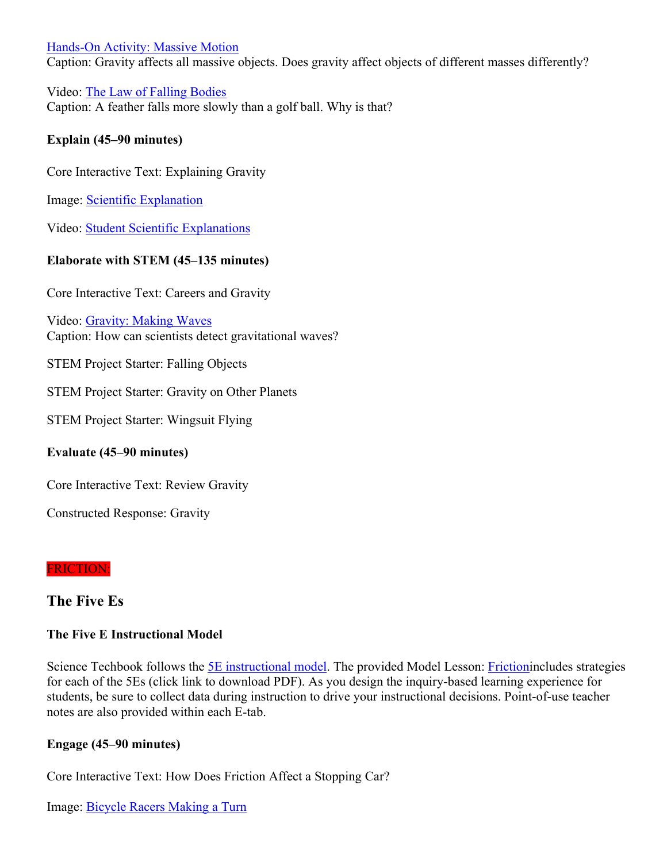## [Hands-On Activity: Massive Motion](https://app.discoveryeducation.com/player/view/assetGuid/980cc394-3f7f-4443-87af-ffe7bcd81467)

Caption: Gravity affects all massive objects. Does gravity affect objects of different masses differently?

Video: [The Law of Falling Bodies](https://app.discoveryeducation.com/player/view/assetGuid/815a3d0a-9858-421f-a162-3e817c08b000) Caption: A feather falls more slowly than a golf ball. Why is that?

## **Explain (45–90 minutes)**

Core Interactive Text: Explaining Gravity

Image: [Scientific Explanation](https://app.discoveryeducation.com/player/view/assetGuid/c5918277-8749-4d7f-9e7b-cdd8f0db7c14)

Video: [Student Scientific Explanations](https://app.discoveryeducation.com/player/view/assetGuid/20455813-486f-49c8-b653-5c7c39304ed7)

## **Elaborate with STEM (45–135 minutes)**

Core Interactive Text: Careers and Gravity

Video: [Gravity: Making Waves](https://app.discoveryeducation.com/player/view/assetGuid/0f8400cc-9fb6-4b3a-8e7f-8e2b4b666f5e) Caption: How can scientists detect gravitational waves?

STEM Project Starter: Falling Objects

STEM Project Starter: Gravity on Other Planets

STEM Project Starter: Wingsuit Flying

## **Evaluate (45–90 minutes)**

Core Interactive Text: Review Gravity

Constructed Response: Gravity

## FRICTION:

# **The Five Es**

## **The Five E Instructional Model**

Science Techbook follows the [5E instructional model](https://app.discoveryeducation.com/player/view/assetGuid/d5b85b47-f169-4824-9b92-ac33f9e61c1e). The provided Model Lesson: [Friction](https://gtm-media-3.discoveryeducation.com/v3.4/DSC/data/UE_PS_Friction_NGSS_P3_ML_FINAL.pdf)includes strategies for each of the 5Es (click link to download PDF). As you design the inquiry-based learning experience for students, be sure to collect data during instruction to drive your instructional decisions. Point-of-use teacher notes are also provided within each E-tab.

## **Engage (45–90 minutes)**

Core Interactive Text: How Does Friction Affect a Stopping Car?

Image: [Bicycle Racers Making a Turn](https://app.discoveryeducation.com/player/view/assetGuid/CA74BCFB-AD36-4D3E-A5AF-78C7801277C5)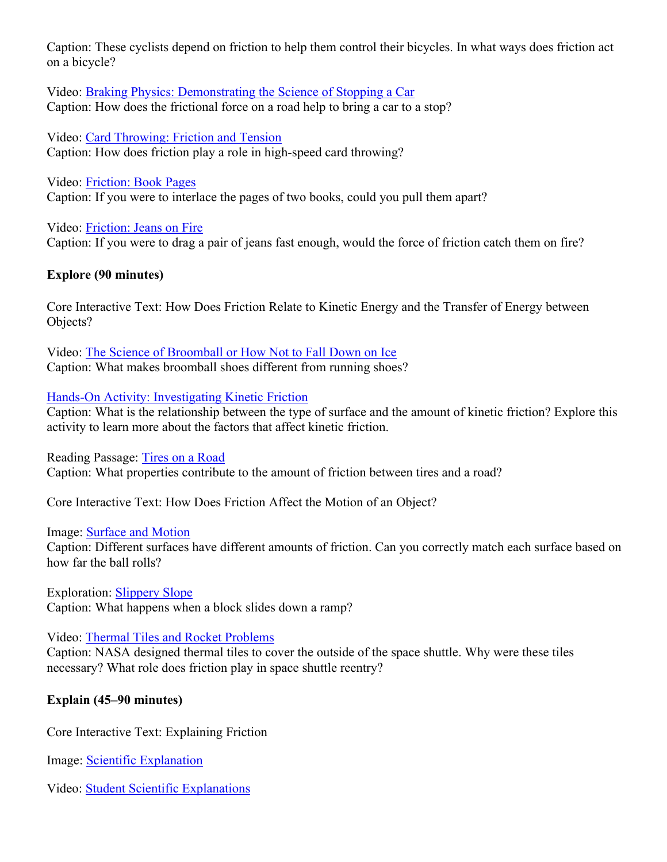Caption: These cyclists depend on friction to help them control their bicycles. In what ways does friction act on a bicycle?

Video: [Braking Physics: Demonstrating the Science of Stopping a Car](https://app.discoveryeducation.com/player/view/assetGuid/2422e60f-1e2c-446e-b506-2c4b9d74f4ef) Caption: How does the frictional force on a road help to bring a car to a stop?

Video: [Card Throwing: Friction and Tension](https://app.discoveryeducation.com/player/view/assetGuid/d37b456c-155b-4049-aa16-238e23a1898e) Caption: How does friction play a role in high-speed card throwing?

Video: [Friction: Book Pages](https://app.discoveryeducation.com/player/view/assetGuid/7dd96f89-406b-43ad-9b8d-1d926b1780b7) Caption: If you were to interlace the pages of two books, could you pull them apart?

Video: [Friction: Jeans on Fire](https://app.discoveryeducation.com/player/view/assetGuid/986dd481-31d5-4aed-82b7-9b7e8da2d5cc) Caption: If you were to drag a pair of jeans fast enough, would the force of friction catch them on fire?

# **Explore (90 minutes)**

Core Interactive Text: How Does Friction Relate to Kinetic Energy and the Transfer of Energy between Objects?

Video: [The Science of Broomball or How Not to Fall Down on Ice](https://app.discoveryeducation.com/player/view/assetGuid/c3715c3a-8963-45de-b56f-b3d09d4f8610) Caption: What makes broomball shoes different from running shoes?

## [Hands-On Activity: Investigating Kinetic Friction](https://app.discoveryeducation.com/player/view/assetGuid/923422a9-1c71-4b33-8c6a-50689ea126fb)

Caption: What is the relationship between the type of surface and the amount of kinetic friction? Explore this activity to learn more about the factors that affect kinetic friction.

## Reading Passage: [Tires on a Road](https://app.discoveryeducation.com/player/view/assetGuid/84f5534d-14b9-4c63-b1f0-1cfcc4bb5522)

Caption: What properties contribute to the amount of friction between tires and a road?

Core Interactive Text: How Does Friction Affect the Motion of an Object?

## Image: [Surface and Motion](https://app.discoveryeducation.com/player/view/assetGuid/f89214ad-56a2-4c8e-b880-4a935a398e9b)

Caption: Different surfaces have different amounts of friction. Can you correctly match each surface based on how far the ball rolls?

Exploration: [Slippery Slope](https://app.discoveryeducation.com/player/view/assetGuid/6271ec8c-21c7-42bf-be71-73cdc1726df2) Caption: What happens when a block slides down a ramp?

## Video: [Thermal Tiles and Rocket Problems](https://app.discoveryeducation.com/player/view/assetGuid/a62ba805-2668-4a45-af73-8d2b59fc6f4f)

Caption: NASA designed thermal tiles to cover the outside of the space shuttle. Why were these tiles necessary? What role does friction play in space shuttle reentry?

# **Explain (45–90 minutes)**

Core Interactive Text: Explaining Friction

Image: [Scientific Explanation](https://app.discoveryeducation.com/player/view/assetGuid/c5918277-8749-4d7f-9e7b-cdd8f0db7c14)

Video: [Student Scientific Explanations](https://app.discoveryeducation.com/player/view/assetGuid/20455813-486f-49c8-b653-5c7c39304ed7)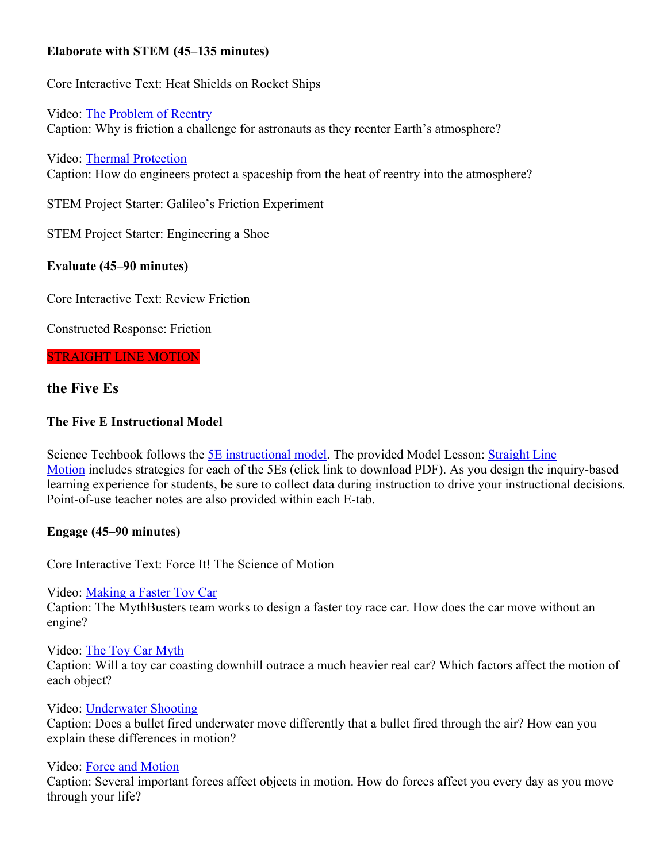# **Elaborate with STEM (45–135 minutes)**

Core Interactive Text: Heat Shields on Rocket Ships

Video: [The Problem of Reentry](https://app.discoveryeducation.com/player/view/assetGuid/972ca9ec-7e8c-48b2-96e3-dd781a5b03af) Caption: Why is friction a challenge for astronauts as they reenter Earth's atmosphere?

Video: [Thermal Protection](https://app.discoveryeducation.com/player/view/assetGuid/fcaec33f-b4bd-45c9-b0eb-80235c7b7c86) Caption: How do engineers protect a spaceship from the heat of reentry into the atmosphere?

STEM Project Starter: Galileo's Friction Experiment

STEM Project Starter: Engineering a Shoe

# **Evaluate (45–90 minutes)**

Core Interactive Text: Review Friction

Constructed Response: Friction

### STRAIGHT LINE MOTION

# **the Five Es**

# **The Five E Instructional Model**

Science Techbook follows the **5E** instructional model. The provided Model Lesson: Straight Line [Motion](https://gtm-media-3.discoveryeducation.com/v3.4/DSC/data/MS_PS_StraightLineMot_NGSS_P3_ML_FINAL.pdf) includes strategies for each of the 5Es (click link to download PDF). As you design the inquiry-based learning experience for students, be sure to collect data during instruction to drive your instructional decisions. Point-of-use teacher notes are also provided within each E-tab.

## **Engage (45–90 minutes)**

Core Interactive Text: Force It! The Science of Motion

Video: [Making a Faster Toy Car](https://app.discoveryeducation.com/player/view/assetGuid/db5d973f-085f-41c3-b37d-1d085de2e739)

Caption: The MythBusters team works to design a faster toy race car. How does the car move without an engine?

Video: [The Toy Car Myth](https://app.discoveryeducation.com/player/view/assetGuid/e69a9bae-d3d2-43d9-a9da-3d2f1e04d7a1)

Caption: Will a toy car coasting downhill outrace a much heavier real car? Which factors affect the motion of each object?

Video: [Underwater Shooting](https://app.discoveryeducation.com/player/view/assetGuid/bcd7e746-891a-4dc7-ba28-b03a369505f3)

Caption: Does a bullet fired underwater move differently that a bullet fired through the air? How can you explain these differences in motion?

### Video: [Force and Motion](https://app.discoveryeducation.com/player/view/assetGuid/b194d8fd-c298-4bc4-ad8c-22ec491ae209)

Caption: Several important forces affect objects in motion. How do forces affect you every day as you move through your life?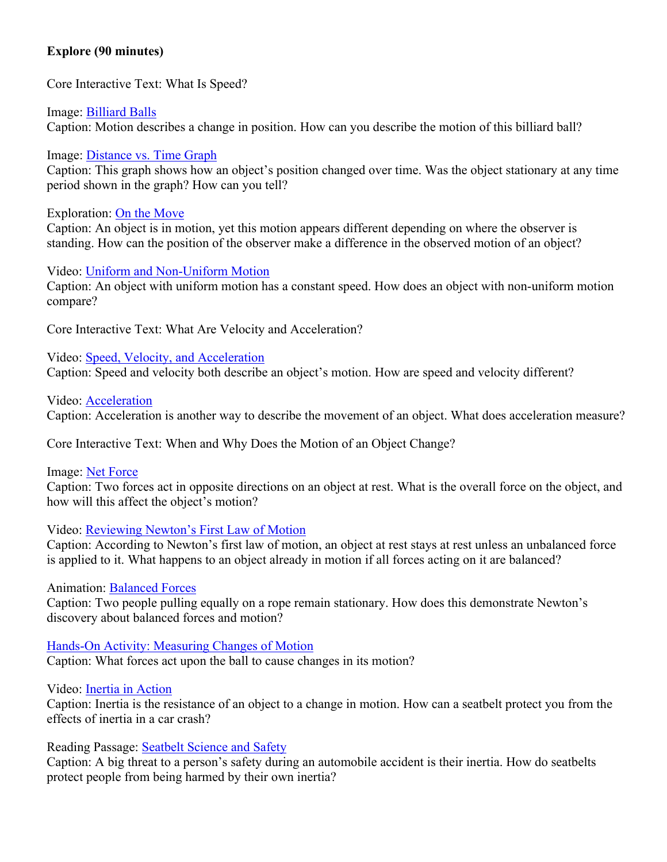## **Explore (90 minutes)**

Core Interactive Text: What Is Speed?

Image: [Billiard Balls](https://app.discoveryeducation.com/player/view/assetGuid/5f88a332-e284-4048-a588-c0d8ec8463a7) Caption: Motion describes a change in position. How can you describe the motion of this billiard ball?

Image: [Distance vs. Time Graph](https://app.discoveryeducation.com/player/view/assetGuid/A66AEDFB-75E0-4DF1-97DC-34756EA98038)

Caption: This graph shows how an object's position changed over time. Was the object stationary at any time period shown in the graph? How can you tell?

Exploration: [On the Move](https://app.discoveryeducation.com/player/view/assetGuid/720d98dd-a03f-489d-b4ca-0ccfb67bdade)

Caption: An object is in motion, yet this motion appears different depending on where the observer is standing. How can the position of the observer make a difference in the observed motion of an object?

Video: [Uniform and Non-Uniform Motion](https://app.discoveryeducation.com/player/view/assetGuid/82e2eed7-f45f-43b7-bce7-83c611e23a28) Caption: An object with uniform motion has a constant speed. How does an object with non-uniform motion compare?

Core Interactive Text: What Are Velocity and Acceleration?

Video: [Speed, Velocity, and Acceleration](https://app.discoveryeducation.com/player/view/assetGuid/3bb8132a-9be8-401b-9b0b-866ea941d488) Caption: Speed and velocity both describe an object's motion. How are speed and velocity different?

Video: [Acceleration](https://app.discoveryeducation.com/player/view/assetGuid/afc7054d-2c2d-46a6-b4c0-36fd33e1cf93)

Caption: Acceleration is another way to describe the movement of an object. What does acceleration measure?

Core Interactive Text: When and Why Does the Motion of an Object Change?

Image: [Net Force](https://app.discoveryeducation.com/player/view/assetGuid/866DE9AA-D407-4726-B820-3036BB805EB6)

Caption: Two forces act in opposite directions on an object at rest. What is the overall force on the object, and how will this affect the object's motion?

## Video: [Reviewing Newton's First Law of Motion](https://app.discoveryeducation.com/player/view/assetGuid/5e7c0a7c-45ab-4cca-818e-cf24cfe00f2c)

Caption: According to Newton's first law of motion, an object at rest stays at rest unless an unbalanced force is applied to it. What happens to an object already in motion if all forces acting on it are balanced?

Animation: [Balanced Forces](https://app.discoveryeducation.com/player/view/assetGuid/e57f4368-f0a2-43cb-89f7-6bcffba74a5c)

Caption: Two people pulling equally on a rope remain stationary. How does this demonstrate Newton's discovery about balanced forces and motion?

[Hands-On Activity: Measuring Changes of Motion](https://app.discoveryeducation.com/player/view/assetGuid/fe55839a-eddc-423a-92a4-10a9b225710e) Caption: What forces act upon the ball to cause changes in its motion?

Video: [Inertia in Action](https://app.discoveryeducation.com/player/view/assetGuid/2b2b6639-d4ff-4a9f-b114-cca9e73ce015)

Caption: Inertia is the resistance of an object to a change in motion. How can a seatbelt protect you from the effects of inertia in a car crash?

Reading Passage: [Seatbelt Science and Safety](https://app.discoveryeducation.com/player/view/assetGuid/129EF46A-6A49-4B06-99B6-8F1D2E28D861)

Caption: A big threat to a person's safety during an automobile accident is their inertia. How do seatbelts protect people from being harmed by their own inertia?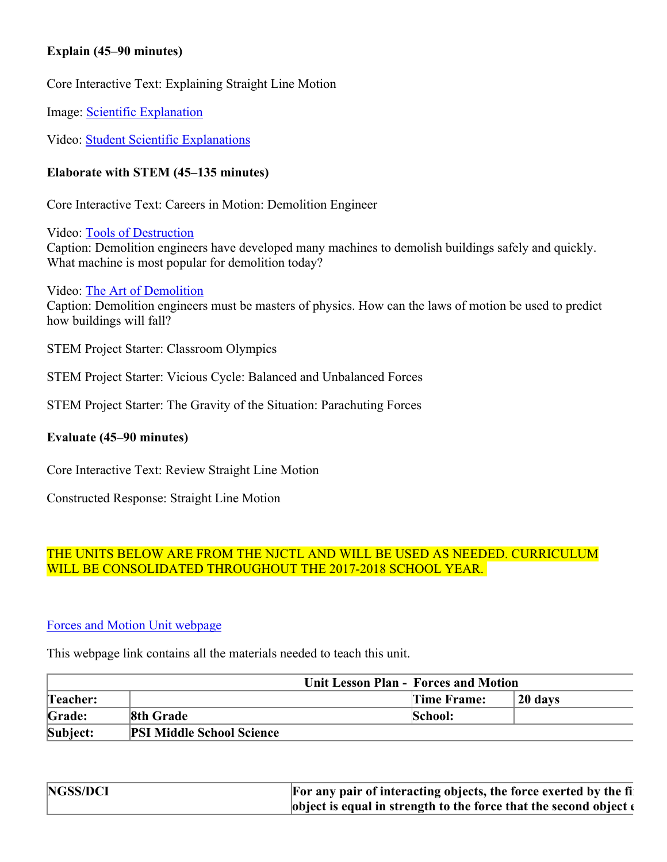## **Explain (45–90 minutes)**

Core Interactive Text: Explaining Straight Line Motion

Image: [Scientific Explanation](https://app.discoveryeducation.com/player/view/assetGuid/c5918277-8749-4d7f-9e7b-cdd8f0db7c14)

Video: [Student Scientific Explanations](https://app.discoveryeducation.com/player/view/assetGuid/20455813-486f-49c8-b653-5c7c39304ed7)

## **Elaborate with STEM (45–135 minutes)**

Core Interactive Text: Careers in Motion: Demolition Engineer

Video: [Tools of Destruction](https://app.discoveryeducation.com/player/view/assetGuid/93744c17-905a-4535-a6a3-81d657727a19) Caption: Demolition engineers have developed many machines to demolish buildings safely and quickly. What machine is most popular for demolition today?

Video: [The Art of Demolition](https://app.discoveryeducation.com/player/view/assetGuid/73e2fd7f-29f8-4db1-8dd1-3c67d1d7f4fa) Caption: Demolition engineers must be masters of physics. How can the laws of motion be used to predict how buildings will fall?

STEM Project Starter: Classroom Olympics

STEM Project Starter: Vicious Cycle: Balanced and Unbalanced Forces

STEM Project Starter: The Gravity of the Situation: Parachuting Forces

## **Evaluate (45–90 minutes)**

Core Interactive Text: Review Straight Line Motion

Constructed Response: Straight Line Motion

# THE UNITS BELOW ARE FROM THE NJCTL AND WILL BE USED AS NEEDED. CURRICULUM WILL BE CONSOLIDATED THROUGHOUT THE 2017-2018 SCHOOL YEAR.

## [Forces and Motion Unit webpage](https://njctl.org/courses/science/8th-grade-science/forces-motion/)

This webpage link contains all the materials needed to teach this unit.

| <b>Unit Lesson Plan - Forces and Motion</b> |                                  |  |             |            |
|---------------------------------------------|----------------------------------|--|-------------|------------|
| Teacher:                                    |                                  |  | Time Frame: | $120$ days |
| Grade:                                      | <b>8th Grade</b>                 |  | School:     |            |
| Subject:                                    | <b>PSI Middle School Science</b> |  |             |            |

| NGSS/DCI | For any pair of interacting objects, the force exerted by the fi           |
|----------|----------------------------------------------------------------------------|
|          | object is equal in strength to the force that the second object $\epsilon$ |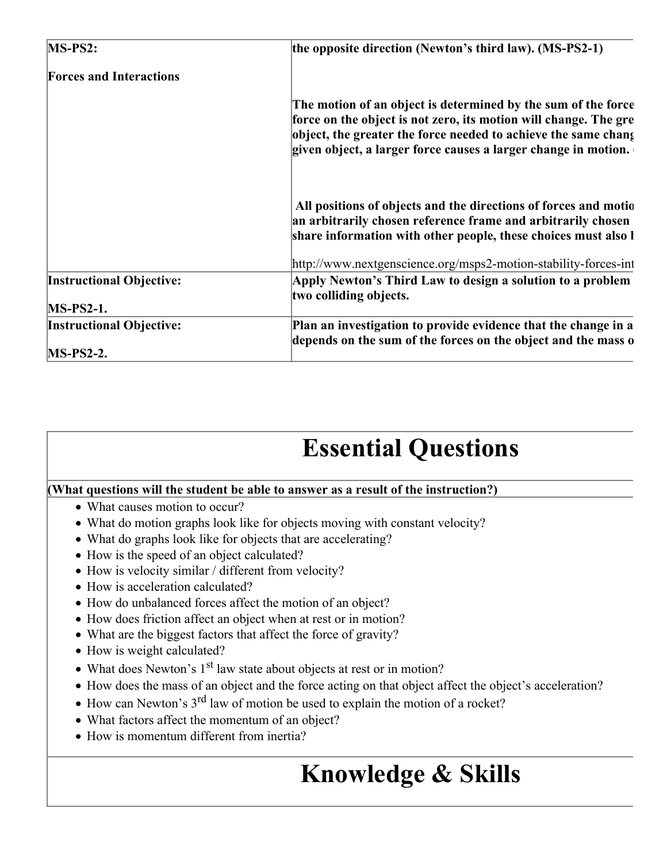| $MS-PS2$ :                      | the opposite direction (Newton's third law). (MS-PS2-1)                                                                                                                                                                                                               |
|---------------------------------|-----------------------------------------------------------------------------------------------------------------------------------------------------------------------------------------------------------------------------------------------------------------------|
| <b>Forces and Interactions</b>  |                                                                                                                                                                                                                                                                       |
|                                 | The motion of an object is determined by the sum of the force<br>force on the object is not zero, its motion will change. The gre<br>object, the greater the force needed to achieve the same chang<br>given object, a larger force causes a larger change in motion. |
|                                 | All positions of objects and the directions of forces and motio<br>an arbitrarily chosen reference frame and arbitrarily chosen<br>share information with other people, these choices must also l                                                                     |
|                                 | http://www.nextgenscience.org/msps2-motion-stability-forces-int                                                                                                                                                                                                       |
| <b>Instructional Objective:</b> | Apply Newton's Third Law to design a solution to a problem                                                                                                                                                                                                            |
| $MS-PS2-1.$                     | two colliding objects.                                                                                                                                                                                                                                                |
| <b>Instructional Objective:</b> | Plan an investigation to provide evidence that the change in a<br>depends on the sum of the forces on the object and the mass o                                                                                                                                       |
| $MS-PS2-2.$                     |                                                                                                                                                                                                                                                                       |

# **Essential Questions**

## **(What questions will the student be able to answer as a result of the instruction?)**

- What causes motion to occur?
- What do motion graphs look like for objects moving with constant velocity?
- What do graphs look like for objects that are accelerating?
- How is the speed of an object calculated?
- How is velocity similar / different from velocity?
- How is acceleration calculated?
- How do unbalanced forces affect the motion of an object?
- How does friction affect an object when at rest or in motion?
- What are the biggest factors that affect the force of gravity?
- How is weight calculated?
- What does Newton's  $1<sup>st</sup>$  law state about objects at rest or in motion?
- How does the mass of an object and the force acting on that object affect the object's acceleration?
- $\bullet$  How can Newton's 3<sup>rd</sup> law of motion be used to explain the motion of a rocket?
- What factors affect the momentum of an object?
- How is momentum different from inertia?

# **Knowledge & Skills**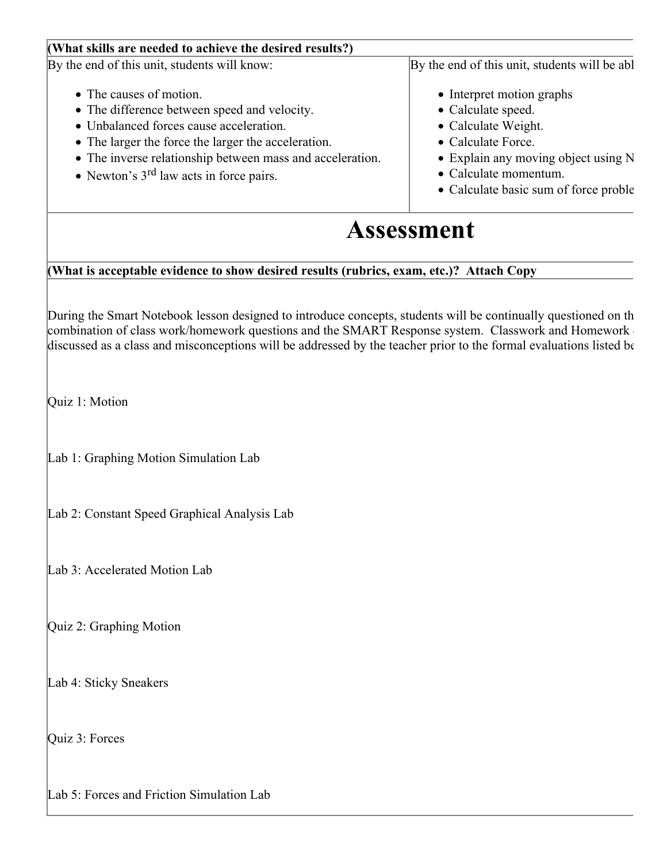| (What skills are needed to achieve the desired results?)                                                                                                                                                                                                                                                                                   |                                                                                                                                                                                                               |
|--------------------------------------------------------------------------------------------------------------------------------------------------------------------------------------------------------------------------------------------------------------------------------------------------------------------------------------------|---------------------------------------------------------------------------------------------------------------------------------------------------------------------------------------------------------------|
| By the end of this unit, students will know:                                                                                                                                                                                                                                                                                               | By the end of this unit, students will be abl                                                                                                                                                                 |
| • The causes of motion.<br>• The difference between speed and velocity.<br>• Unbalanced forces cause acceleration.<br>• The larger the force the larger the acceleration.<br>• The inverse relationship between mass and acceleration.<br>• Newton's $3rd$ law acts in force pairs.                                                        | • Interpret motion graphs<br>• Calculate speed.<br>• Calculate Weight.<br>• Calculate Force.<br>$\bullet$ Explain any moving object using N<br>• Calculate momentum.<br>• Calculate basic sum of force proble |
|                                                                                                                                                                                                                                                                                                                                            | <b>Assessment</b>                                                                                                                                                                                             |
| (What is acceptable evidence to show desired results (rubrics, exam, etc.)? Attach Copy                                                                                                                                                                                                                                                    |                                                                                                                                                                                                               |
| During the Smart Notebook lesson designed to introduce concepts, students will be continually questioned on th<br>combination of class work/homework questions and the SMART Response system. Classwork and Homework<br>discussed as a class and misconceptions will be addressed by the teacher prior to the formal evaluations listed be |                                                                                                                                                                                                               |
| Quiz 1: Motion                                                                                                                                                                                                                                                                                                                             |                                                                                                                                                                                                               |
| Lab 1: Graphing Motion Simulation Lab                                                                                                                                                                                                                                                                                                      |                                                                                                                                                                                                               |
| Lab 2: Constant Speed Graphical Analysis Lab                                                                                                                                                                                                                                                                                               |                                                                                                                                                                                                               |
| Lab 3: Accelerated Motion Lab                                                                                                                                                                                                                                                                                                              |                                                                                                                                                                                                               |

Quiz 2: Graphing Motion

Lab 4: Sticky Sneakers

Quiz 3: Forces

Lab 5: Forces and Friction Simulation Lab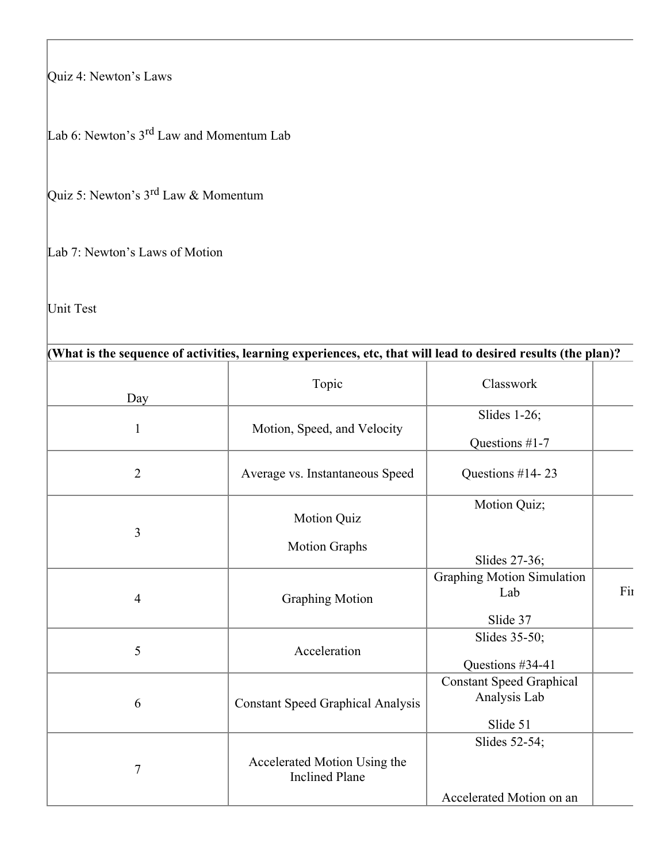Quiz 4: Newton's Laws

Lab 6: Newton's  $3^{rd}$  Law and Momentum Lab

Quiz 5: Newton's 3<sup>rd</sup> Law & Momentum

Lab 7: Newton's Laws of Motion

Unit Test

| (What is the sequence of activities, learning experiences, etc, that will lead to desired results (the plan)? |                                                       |                                                     |     |
|---------------------------------------------------------------------------------------------------------------|-------------------------------------------------------|-----------------------------------------------------|-----|
| Day                                                                                                           | Topic                                                 | Classwork                                           |     |
|                                                                                                               |                                                       | Slides $1-26$ ;                                     |     |
| $\mathbf{1}$                                                                                                  | Motion, Speed, and Velocity                           | Questions #1-7                                      |     |
| $\overline{2}$                                                                                                | Average vs. Instantaneous Speed                       | Questions #14-23                                    |     |
|                                                                                                               | Motion Quiz                                           | Motion Quiz;                                        |     |
| 3                                                                                                             | <b>Motion Graphs</b>                                  | Slides 27-36;                                       |     |
| 4                                                                                                             | <b>Graphing Motion</b>                                | <b>Graphing Motion Simulation</b><br>Lab            | Fir |
|                                                                                                               |                                                       | Slide 37                                            |     |
| 5                                                                                                             | Acceleration                                          | Slides 35-50;                                       |     |
|                                                                                                               |                                                       | Questions #34-41<br><b>Constant Speed Graphical</b> |     |
| 6                                                                                                             | <b>Constant Speed Graphical Analysis</b>              | Analysis Lab                                        |     |
|                                                                                                               |                                                       | Slide 51                                            |     |
| $\tau$                                                                                                        | Accelerated Motion Using the<br><b>Inclined Plane</b> | Slides $52-54$ ;                                    |     |
|                                                                                                               |                                                       | Accelerated Motion on an                            |     |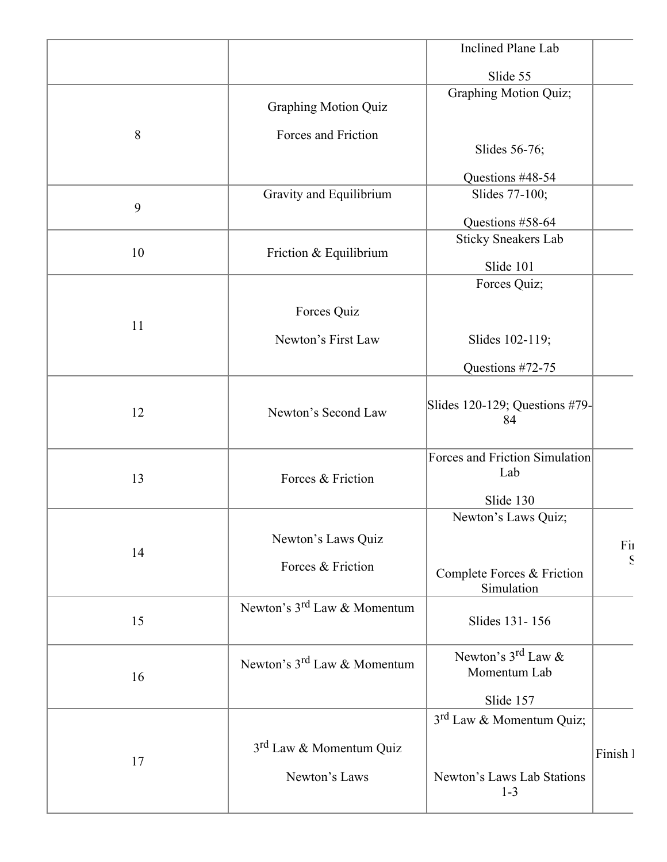|       |                                     | Inclined Plane Lab                       |              |
|-------|-------------------------------------|------------------------------------------|--------------|
|       |                                     | Slide 55                                 |              |
|       |                                     | Graphing Motion Quiz;                    |              |
|       | <b>Graphing Motion Quiz</b>         |                                          |              |
| $8\,$ | Forces and Friction                 |                                          |              |
|       |                                     | Slides 56-76;                            |              |
|       |                                     | Questions #48-54                         |              |
| 9     | Gravity and Equilibrium             | Slides 77-100;                           |              |
|       |                                     | Questions #58-64                         |              |
|       |                                     | <b>Sticky Sneakers Lab</b>               |              |
| 10    | Friction & Equilibrium              | Slide 101                                |              |
|       |                                     | Forces Quiz;                             |              |
|       | Forces Quiz                         |                                          |              |
| 11    |                                     |                                          |              |
|       | Newton's First Law                  | Slides 102-119;                          |              |
|       |                                     | Questions #72-75                         |              |
|       |                                     |                                          |              |
| 12    | Newton's Second Law                 | Slides 120-129; Questions #79-<br>84     |              |
|       |                                     |                                          |              |
|       |                                     | Forces and Friction Simulation           |              |
| 13    | Forces & Friction                   | Lab                                      |              |
|       |                                     | Slide 130                                |              |
|       |                                     | Newton's Laws Quiz;                      |              |
|       | Newton's Laws Quiz                  |                                          | Fil          |
| 14    | Forces & Friction                   |                                          | $\mathbf{S}$ |
|       |                                     | Complete Forces & Friction<br>Simulation |              |
|       | Newton's $3^{rd}$ Law & Momentum    |                                          |              |
| 15    |                                     | Slides 131-156                           |              |
|       |                                     | Newton's $3^{\text{rd}}$ Law &           |              |
| 16    | Newton's $3^{rd}$ Law & Momentum    | Momentum Lab                             |              |
|       |                                     | Slide 157                                |              |
|       |                                     | 3 <sup>rd</sup> Law & Momentum Quiz;     |              |
|       |                                     |                                          |              |
| 17    | 3 <sup>rd</sup> Law & Momentum Quiz |                                          | Finish 1     |
|       | Newton's Laws                       | Newton's Laws Lab Stations               |              |
|       |                                     | $1 - 3$                                  |              |
|       |                                     |                                          |              |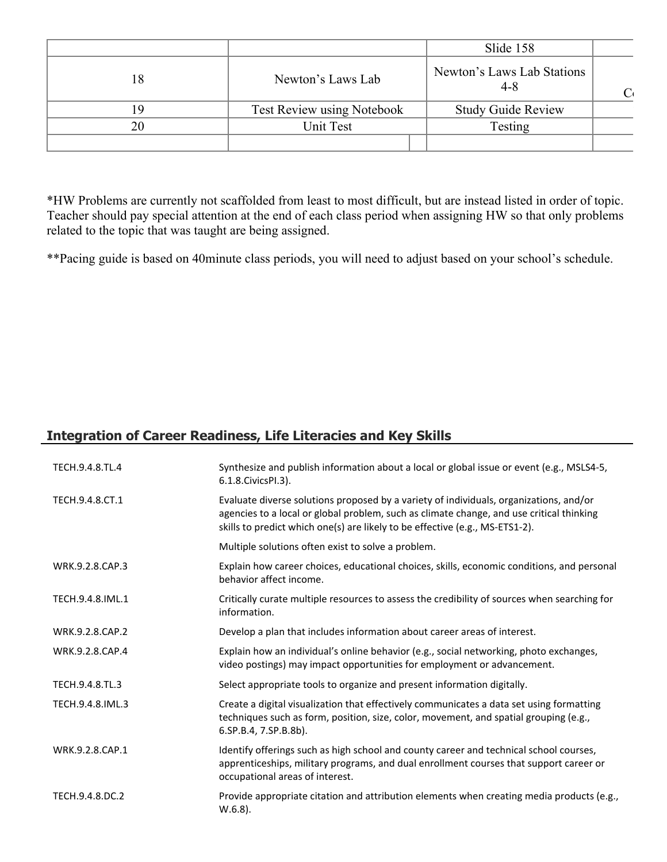|    |                                   | Slide 158                             |  |
|----|-----------------------------------|---------------------------------------|--|
| 18 | Newton's Laws Lab                 | Newton's Laws Lab Stations<br>$4 - 8$ |  |
|    | <b>Test Review using Notebook</b> | <b>Study Guide Review</b>             |  |
| 20 | Unit Test                         | Testing                               |  |
|    |                                   |                                       |  |

\*HW Problems are currently not scaffolded from least to most difficult, but are instead listed in order of topic. Teacher should pay special attention at the end of each class period when assigning HW so that only problems related to the topic that was taught are being assigned.

\*\*Pacing guide is based on 40minute class periods, you will need to adjust based on your school's schedule.

# **Integration of Career Readiness, Life Literacies and Key Skills**

| TECH.9.4.8.TL.4  | Synthesize and publish information about a local or global issue or event (e.g., MSLS4-5,<br>6.1.8. Civics PI.3).                                                                                                                                                  |
|------------------|--------------------------------------------------------------------------------------------------------------------------------------------------------------------------------------------------------------------------------------------------------------------|
| TECH.9.4.8.CT.1  | Evaluate diverse solutions proposed by a variety of individuals, organizations, and/or<br>agencies to a local or global problem, such as climate change, and use critical thinking<br>skills to predict which one(s) are likely to be effective (e.g., MS-ETS1-2). |
|                  | Multiple solutions often exist to solve a problem.                                                                                                                                                                                                                 |
| WRK.9.2.8.CAP.3  | Explain how career choices, educational choices, skills, economic conditions, and personal<br>behavior affect income.                                                                                                                                              |
| TECH.9.4.8.IML.1 | Critically curate multiple resources to assess the credibility of sources when searching for<br>information.                                                                                                                                                       |
| WRK.9.2.8.CAP.2  | Develop a plan that includes information about career areas of interest.                                                                                                                                                                                           |
| WRK.9.2.8.CAP.4  | Explain how an individual's online behavior (e.g., social networking, photo exchanges,<br>video postings) may impact opportunities for employment or advancement.                                                                                                  |
| TECH.9.4.8.TL.3  | Select appropriate tools to organize and present information digitally.                                                                                                                                                                                            |
| TECH.9.4.8.IML.3 | Create a digital visualization that effectively communicates a data set using formatting<br>techniques such as form, position, size, color, movement, and spatial grouping (e.g.,<br>6.SP.B.4, 7.SP.B.8b).                                                         |
| WRK.9.2.8.CAP.1  | Identify offerings such as high school and county career and technical school courses,<br>apprenticeships, military programs, and dual enrollment courses that support career or<br>occupational areas of interest.                                                |
| TECH.9.4.8.DC.2  | Provide appropriate citation and attribution elements when creating media products (e.g.,<br>$W.6.8$ ).                                                                                                                                                            |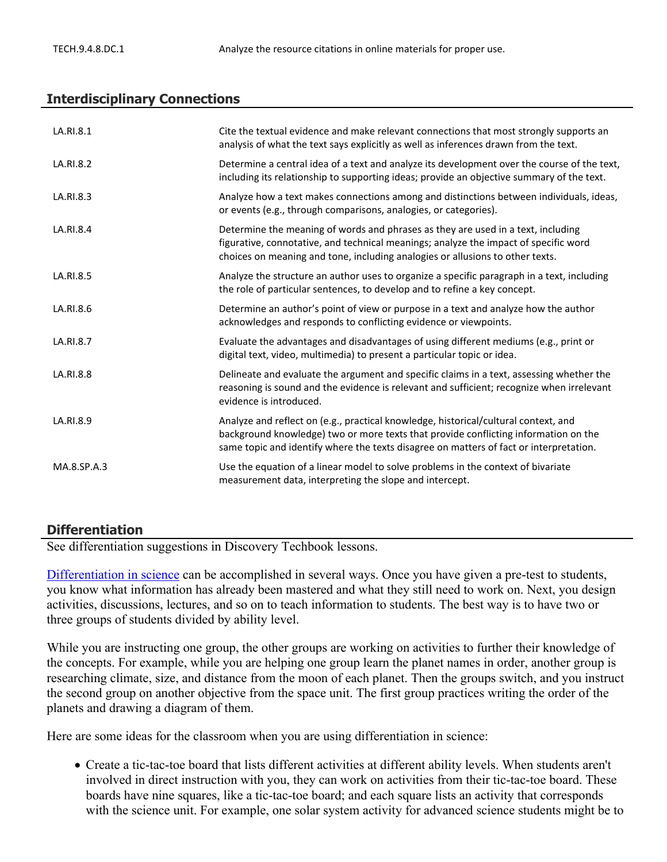## **Interdisciplinary Connections**

| LA.RI.8.1   | Cite the textual evidence and make relevant connections that most strongly supports an<br>analysis of what the text says explicitly as well as inferences drawn from the text.                                                                                       |
|-------------|----------------------------------------------------------------------------------------------------------------------------------------------------------------------------------------------------------------------------------------------------------------------|
| LA.RI.8.2   | Determine a central idea of a text and analyze its development over the course of the text,<br>including its relationship to supporting ideas; provide an objective summary of the text.                                                                             |
| LA.RI.8.3   | Analyze how a text makes connections among and distinctions between individuals, ideas,<br>or events (e.g., through comparisons, analogies, or categories).                                                                                                          |
| LA.RI.8.4   | Determine the meaning of words and phrases as they are used in a text, including<br>figurative, connotative, and technical meanings; analyze the impact of specific word<br>choices on meaning and tone, including analogies or allusions to other texts.            |
| LA.RI.8.5   | Analyze the structure an author uses to organize a specific paragraph in a text, including<br>the role of particular sentences, to develop and to refine a key concept.                                                                                              |
| LA.RI.8.6   | Determine an author's point of view or purpose in a text and analyze how the author<br>acknowledges and responds to conflicting evidence or viewpoints.                                                                                                              |
| LA.RI.8.7   | Evaluate the advantages and disadvantages of using different mediums (e.g., print or<br>digital text, video, multimedia) to present a particular topic or idea.                                                                                                      |
| LA.RI.8.8   | Delineate and evaluate the argument and specific claims in a text, assessing whether the<br>reasoning is sound and the evidence is relevant and sufficient; recognize when irrelevant<br>evidence is introduced.                                                     |
| LA.RI.8.9   | Analyze and reflect on (e.g., practical knowledge, historical/cultural context, and<br>background knowledge) two or more texts that provide conflicting information on the<br>same topic and identify where the texts disagree on matters of fact or interpretation. |
| MA.8.SP.A.3 | Use the equation of a linear model to solve problems in the context of bivariate<br>measurement data, interpreting the slope and intercept.                                                                                                                          |

### **Differentiation**

See differentiation suggestions in Discovery Techbook lessons.

[Differentiation in science](http://www.brighthubeducation.com/teaching-gifted-students/65181-differentiation-techniques-and-activities-in-the-classroom-for-gifted-students/) can be accomplished in several ways. Once you have given a pre-test to students, you know what information has already been mastered and what they still need to work on. Next, you design activities, discussions, lectures, and so on to teach information to students. The best way is to have two or three groups of students divided by ability level.

While you are instructing one group, the other groups are working on activities to further their knowledge of the concepts. For example, while you are helping one group learn the planet names in order, another group is researching climate, size, and distance from the moon of each planet. Then the groups switch, and you instruct the second group on another objective from the space unit. The first group practices writing the order of the planets and drawing a diagram of them.

Here are some ideas for the classroom when you are using differentiation in science:

 Create a tic-tac-toe board that lists different activities at different ability levels. When students aren't involved in direct instruction with you, they can work on activities from their tic-tac-toe board. These boards have nine squares, like a tic-tac-toe board; and each square lists an activity that corresponds with the science unit. For example, one solar system activity for advanced science students might be to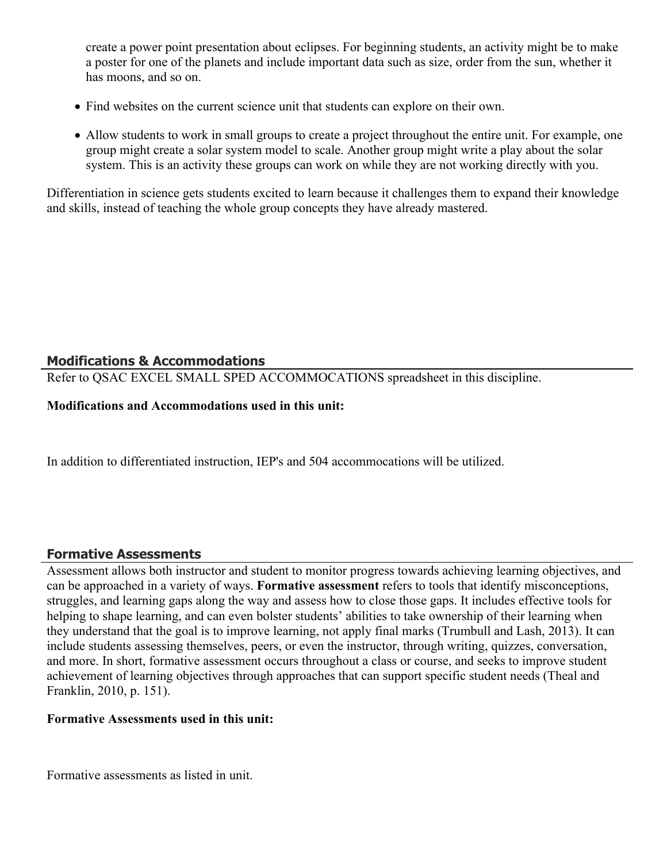create a power point presentation about eclipses. For beginning students, an activity might be to make a poster for one of the planets and include important data such as size, order from the sun, whether it has moons, and so on.

- Find websites on the current science unit that students can explore on their own.
- Allow students to work in small groups to create a project throughout the entire unit. For example, one group might create a solar system model to scale. Another group might write a play about the solar system. This is an activity these groups can work on while they are not working directly with you.

Differentiation in science gets students excited to learn because it challenges them to expand their knowledge and skills, instead of teaching the whole group concepts they have already mastered.

# **Modifications & Accommodations**

Refer to QSAC EXCEL SMALL SPED ACCOMMOCATIONS spreadsheet in this discipline.

# **Modifications and Accommodations used in this unit:**

In addition to differentiated instruction, IEP's and 504 accommocations will be utilized.

# **Formative Assessments**

Assessment allows both instructor and student to monitor progress towards achieving learning objectives, and can be approached in a variety of ways. **Formative assessment** refers to tools that identify misconceptions, struggles, and learning gaps along the way and assess how to close those gaps. It includes effective tools for helping to shape learning, and can even bolster students' abilities to take ownership of their learning when they understand that the goal is to improve learning, not apply final marks (Trumbull and Lash, 2013). It can include students assessing themselves, peers, or even the instructor, through writing, quizzes, conversation, and more. In short, formative assessment occurs throughout a class or course, and seeks to improve student achievement of learning objectives through approaches that can support specific student needs (Theal and Franklin, 2010, p. 151).

## **Formative Assessments used in this unit:**

Formative assessments as listed in unit.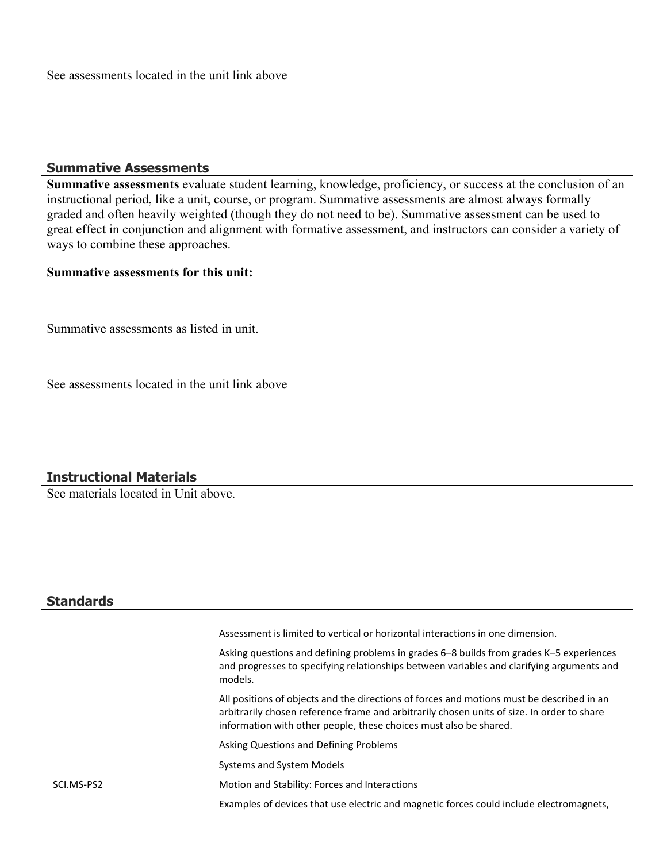See assessments located in the unit link above

#### **Summative Assessments**

**Summative assessments** evaluate student learning, knowledge, proficiency, or success at the conclusion of an instructional period, like a unit, course, or program. Summative assessments are almost always formally graded and often heavily weighted (though they do not need to be). Summative assessment can be used to great effect in conjunction and alignment with formative assessment, and instructors can consider a variety of ways to combine these approaches.

## **Summative assessments for this unit:**

Summative assessments as listed in unit.

See assessments located in the unit link above

## **Instructional Materials**

See materials located in Unit above.

### **Standards**

|            | Assessment is limited to vertical or horizontal interactions in one dimension.                                                                                                                                                                               |
|------------|--------------------------------------------------------------------------------------------------------------------------------------------------------------------------------------------------------------------------------------------------------------|
|            | Asking questions and defining problems in grades 6–8 builds from grades K–5 experiences<br>and progresses to specifying relationships between variables and clarifying arguments and<br>models.                                                              |
|            | All positions of objects and the directions of forces and motions must be described in an<br>arbitrarily chosen reference frame and arbitrarily chosen units of size. In order to share<br>information with other people, these choices must also be shared. |
|            | Asking Questions and Defining Problems                                                                                                                                                                                                                       |
|            | Systems and System Models                                                                                                                                                                                                                                    |
| SCI.MS-PS2 | Motion and Stability: Forces and Interactions                                                                                                                                                                                                                |
|            | Examples of devices that use electric and magnetic forces could include electromagnets,                                                                                                                                                                      |